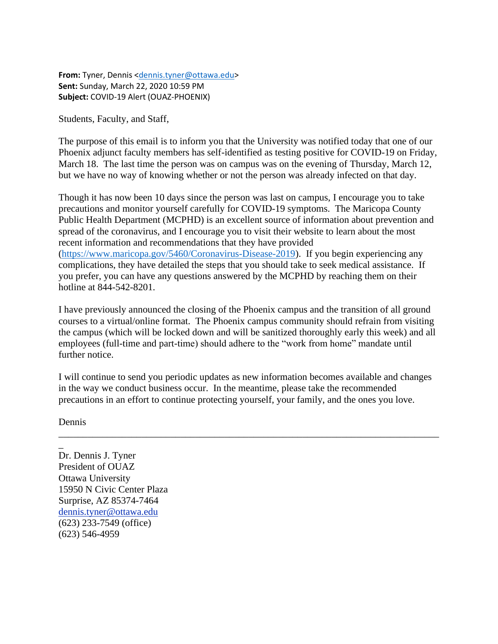**From:** Tyner, Dennis [<dennis.tyner@ottawa.edu>](mailto:dennis.tyner@ottawa.edu) **Sent:** Sunday, March 22, 2020 10:59 PM **Subject:** COVID-19 Alert (OUAZ-PHOENIX)

Students, Faculty, and Staff,

The purpose of this email is to inform you that the University was notified today that one of our Phoenix adjunct faculty members has self-identified as testing positive for COVID-19 on Friday, March 18. The last time the person was on campus was on the evening of Thursday, March 12, but we have no way of knowing whether or not the person was already infected on that day.

Though it has now been 10 days since the person was last on campus, I encourage you to take precautions and monitor yourself carefully for COVID-19 symptoms. The Maricopa County Public Health Department (MCPHD) is an excellent source of information about prevention and spread of the coronavirus, and I encourage you to visit their website to learn about the most recent information and recommendations that they have provided [\(https://www.maricopa.gov/5460/Coronavirus-Disease-2019\)](https://www.maricopa.gov/5460/Coronavirus-Disease-2019). If you begin experiencing any complications, they have detailed the steps that you should take to seek medical assistance. If you prefer, you can have any questions answered by the MCPHD by reaching them on their hotline at 844-542-8201.

I have previously announced the closing of the Phoenix campus and the transition of all ground courses to a virtual/online format. The Phoenix campus community should refrain from visiting the campus (which will be locked down and will be sanitized thoroughly early this week) and all employees (full-time and part-time) should adhere to the "work from home" mandate until further notice.

I will continue to send you periodic updates as new information becomes available and changes in the way we conduct business occur. In the meantime, please take the recommended precautions in an effort to continue protecting yourself, your family, and the ones you love.

\_\_\_\_\_\_\_\_\_\_\_\_\_\_\_\_\_\_\_\_\_\_\_\_\_\_\_\_\_\_\_\_\_\_\_\_\_\_\_\_\_\_\_\_\_\_\_\_\_\_\_\_\_\_\_\_\_\_\_\_\_\_\_\_\_\_\_\_\_\_\_\_\_\_\_\_\_\_

Dennis

\_

Dr. Dennis J. Tyner President of OUAZ Ottawa University 15950 N Civic Center Plaza Surprise, AZ 85374-7464 [dennis.tyner@ottawa.edu](mailto:dennis.tyner@ottawa.edu) (623) 233-7549 (office) (623) 546-4959